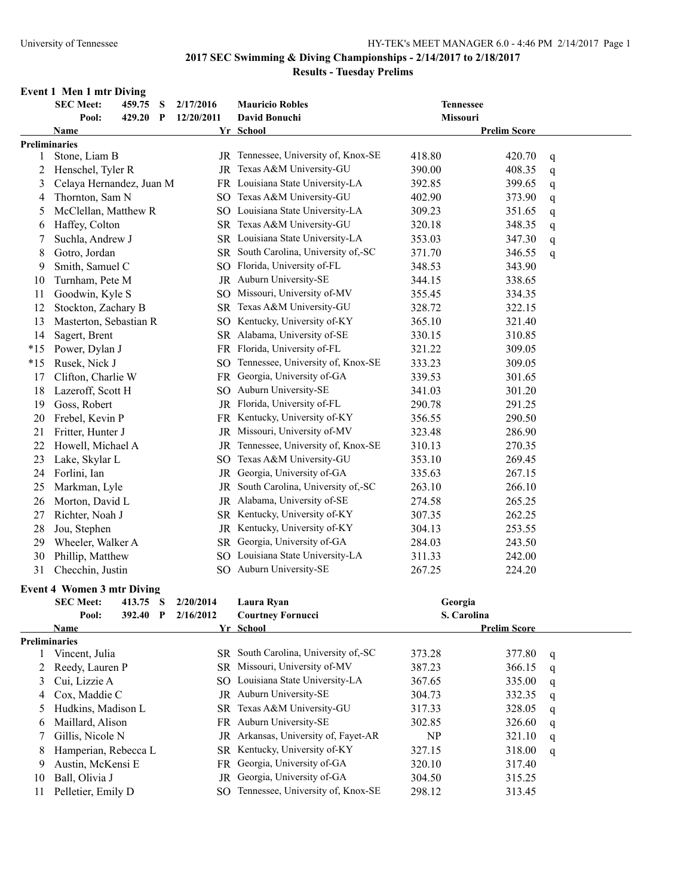### **2017 SEC Swimming & Diving Championships - 2/14/2017 to 2/18/2017 Results - Tuesday Prelims**

### **Event 1 Men 1 mtr Diving**

|       | <b>SEC Meet:</b>                                  | 459.75 S |              | 2/17/2016               | <b>Mauricio Robles</b>               | <b>Tennessee</b> |                     |   |
|-------|---------------------------------------------------|----------|--------------|-------------------------|--------------------------------------|------------------|---------------------|---|
|       | Pool:                                             | 429.20   | $\mathbf{P}$ | 12/20/2011              | David Bonuchi                        | Missouri         |                     |   |
|       | <b>Name</b>                                       |          |              |                         | Yr School                            |                  | <b>Prelim Score</b> |   |
|       | Preliminaries                                     |          |              |                         |                                      |                  |                     |   |
| 1     | Stone, Liam B                                     |          |              |                         | JR Tennessee, University of, Knox-SE | 418.80           | 420.70              | q |
| 2     | Henschel, Tyler R                                 |          |              | JR                      | Texas A&M University-GU              | 390.00           | 408.35              | q |
| 3     | Celaya Hernandez, Juan M                          |          |              |                         | FR Louisiana State University-LA     | 392.85           | 399.65              | q |
| 4     | Thornton, Sam N                                   |          |              |                         | SO Texas A&M University-GU           | 402.90           | 373.90              | q |
| 5     | McClellan, Matthew R                              |          |              |                         | SO Louisiana State University-LA     | 309.23           | 351.65              | q |
| 6     | Haffey, Colton                                    |          |              |                         | SR Texas A&M University-GU           | 320.18           | 348.35              | q |
| 7     | Suchla, Andrew J                                  |          |              | SR                      | Louisiana State University-LA        | 353.03           | 347.30              | q |
| 8     | Gotro, Jordan                                     |          |              | SR                      | South Carolina, University of,-SC    | 371.70           | 346.55              | q |
| 9     | Smith, Samuel C                                   |          |              |                         | SO Florida, University of-FL         | 348.53           | 343.90              |   |
| 10    | Turnham, Pete M                                   |          |              | JR                      | Auburn University-SE                 | 344.15           | 338.65              |   |
| 11    | Goodwin, Kyle S                                   |          |              |                         | SO Missouri, University of-MV        | 355.45           | 334.35              |   |
| 12    | Stockton, Zachary B                               |          |              |                         | SR Texas A&M University-GU           | 328.72           | 322.15              |   |
| 13    | Masterton, Sebastian R                            |          |              |                         | SO Kentucky, University of-KY        | 365.10           | 321.40              |   |
| 14    | Sagert, Brent                                     |          |              |                         | SR Alabama, University of-SE         | 330.15           | 310.85              |   |
| $*15$ | Power, Dylan J                                    |          |              |                         | FR Florida, University of-FL         | 321.22           | 309.05              |   |
| $*15$ | Rusek, Nick J                                     |          |              | SO.                     | Tennessee, University of, Knox-SE    | 333.23           | 309.05              |   |
| 17    | Clifton, Charlie W                                |          |              |                         | FR Georgia, University of-GA         | 339.53           | 301.65              |   |
| 18    | Lazeroff, Scott H                                 |          |              |                         | SO Auburn University-SE              | 341.03           | 301.20              |   |
| 19    | Goss, Robert                                      |          |              |                         | JR Florida, University of-FL         | 290.78           | 291.25              |   |
| 20    | Frebel, Kevin P                                   |          |              | FR                      | Kentucky, University of-KY           | 356.55           | 290.50              |   |
| 21    | Fritter, Hunter J                                 |          |              | JR                      | Missouri, University of-MV           | 323.48           | 286.90              |   |
| 22    | Howell, Michael A                                 |          |              | JR                      | Tennessee, University of, Knox-SE    | 310.13           | 270.35              |   |
| 23    | Lake, Skylar L                                    |          |              | SO                      | Texas A&M University-GU              | 353.10           | 269.45              |   |
| 24    | Forlini, Ian                                      |          |              | JR                      | Georgia, University of-GA            | 335.63           | 267.15              |   |
| 25    | Markman, Lyle                                     |          |              | JR                      | South Carolina, University of,-SC    | 263.10           | 266.10              |   |
| 26    | Morton, David L                                   |          |              | JR                      | Alabama, University of-SE            | 274.58           | 265.25              |   |
| 27    | Richter, Noah J                                   |          |              | SR                      | Kentucky, University of-KY           | 307.35           | 262.25              |   |
| 28    | Jou, Stephen                                      |          |              | JR                      | Kentucky, University of-KY           | 304.13           | 253.55              |   |
| 29    | Wheeler, Walker A                                 |          |              | SR                      | Georgia, University of-GA            | 284.03           | 243.50              |   |
| 30    | Phillip, Matthew                                  |          |              |                         | SO Louisiana State University-LA     | 311.33           | 242.00              |   |
| 31    | Checchin, Justin                                  |          |              |                         | SO Auburn University-SE              | 267.25           | 224.20              |   |
|       |                                                   |          |              |                         |                                      |                  |                     |   |
|       | <b>Event 4 Women 3 mtr Diving</b>                 |          |              |                         |                                      |                  |                     |   |
|       | <b>SEC Meet:</b><br>413.75 S<br>Pool:<br>392.40 P |          |              | 2/20/2014<br>Laura Ryan |                                      | Georgia          |                     |   |
|       |                                                   |          |              | 2/16/2012               | <b>Courtney Fornucci</b>             | S. Carolina      |                     |   |
|       | Name                                              |          |              |                         | Yr School                            |                  | <b>Prelim Score</b> |   |
| 1     | <b>Preliminaries</b><br>Vincent, Julia            |          |              |                         | SR South Carolina, University of,-SC | 373.28           | 377.80              |   |
| 2     |                                                   |          |              | SR.                     | Missouri, University of-MV           | 387.23           | 366.15              | q |
| 3     | Reedy, Lauren P                                   |          |              |                         | SO Louisiana State University-LA     | 367.65           | 335.00              | q |
|       | Cui, Lizzie A<br>Cox, Maddie C                    |          |              |                         | JR Auburn University-SE              |                  |                     | q |
| 4     |                                                   |          |              | SR                      | Texas A&M University-GU              | 304.73           | 332.35<br>328.05    | q |
| 5     | Hudkins, Madison L                                |          |              |                         | FR Auburn University-SE              | 317.33<br>302.85 |                     | q |
| 6     | Maillard, Alison                                  |          |              |                         | Arkansas, University of, Fayet-AR    |                  | 326.60              | q |
| 7     | Gillis, Nicole N                                  |          |              | JR                      | SR Kentucky, University of-KY        | NP               | 321.10              | q |
| 8     | Hamperian, Rebecca L                              |          |              |                         | FR Georgia, University of-GA         | 327.15           | 318.00              | q |
| 9     | Austin, McKensi E                                 |          |              |                         |                                      | 320.10           | 317.40              |   |

10 Ball, Olivia J JR Georgia, University of-GA 304.50 315.25 11 Pelletier, Emily D SO Tennessee, University of, Knox-SE 298.12 313.45